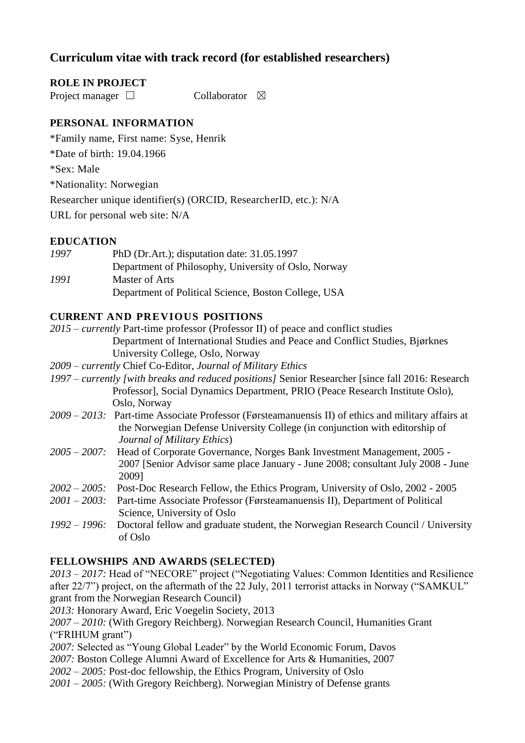# **Curriculum vitae with track record (for established researchers)**

#### **ROLE IN PROJECT**

Project manager □ Collaborator ⊠

### **PERSONAL INFORMATION**

\*Family name, First name: Syse, Henrik

\*Date of birth: 19.04.1966

\*Sex: Male

\*Nationality: Norwegian

Researcher unique identifier(s) (ORCID, ResearcherID, etc.): N/A

URL for personal web site: N/A

#### **EDUCATION**

*1997* PhD (Dr.Art.); disputation date: 31.05.1997 Department of Philosophy, University of Oslo, Norway *1991* Master of Arts Department of Political Science, Boston College, USA

#### **CURRENT AND PREVIOUS POSITIONS**

- *2015 – currently* Part-time professor (Professor II) of peace and conflict studies Department of International Studies and Peace and Conflict Studies, Bjørknes University College, Oslo, Norway
- *2009 – currently* Chief Co-Editor, *Journal of Military Ethics*
- *1997 – currently [with breaks and reduced positions]* Senior Researcher [since fall 2016: Research Professor], Social Dynamics Department, PRIO (Peace Research Institute Oslo), Oslo, Norway
- *2009 – 2013:* Part-time Associate Professor (Førsteamanuensis II) of ethics and military affairs at the Norwegian Defense University College (in conjunction with editorship of *Journal of Military Ethics*)
- *2005 – 2007:* Head of Corporate Governance, Norges Bank Investment Management, 2005 2007 [Senior Advisor same place January - June 2008; consultant July 2008 - June 2009]
- *2002 – 2005:* Post-Doc Research Fellow, the Ethics Program, University of Oslo, 2002 2005
- *2001 – 2003:* Part-time Associate Professor (Førsteamanuensis II), Department of Political Science, University of Oslo
- *1992 – 1996:* Doctoral fellow and graduate student, the Norwegian Research Council / University of Oslo

#### **FELLOWSHIPS AND AWARDS (SELECTED)**

*2013 – 2017:* Head of "NECORE" project ("Negotiating Values: Common Identities and Resilience after 22/7") project, on the aftermath of the 22 July, 2011 terrorist attacks in Norway ("SAMKUL" grant from the Norwegian Research Council)

*2013:* Honorary Award, Eric Voegelin Society, 2013

*2007 – 2010:* (With Gregory Reichberg). Norwegian Research Council, Humanities Grant ("FRIHUM grant")

- *2007:* Selected as "Young Global Leader" by the World Economic Forum, Davos
- *2007:* Boston College Alumni Award of Excellence for Arts & Humanities, 2007
- *2002 – 2005:* Post-doc fellowship, the Ethics Program, University of Oslo
- *2001 – 2005:* (With Gregory Reichberg). Norwegian Ministry of Defense grants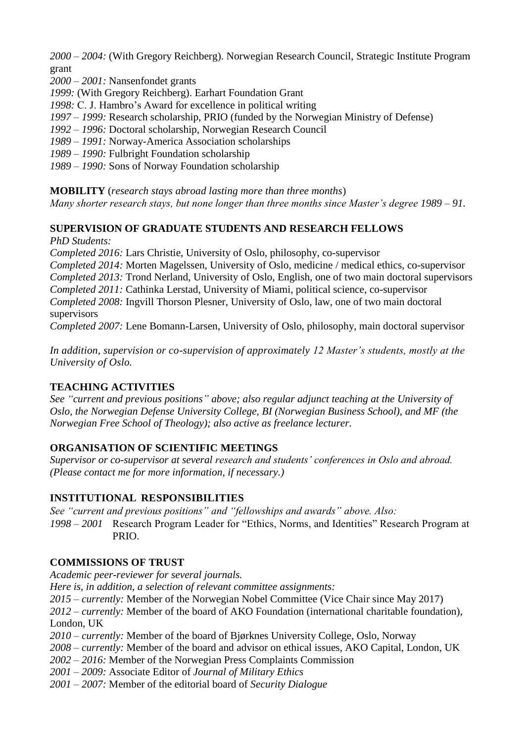*2000 – 2004:* (With Gregory Reichberg). Norwegian Research Council, Strategic Institute Program grant

*2000 – 2001:* Nansenfondet grants

#### *1999:* (With Gregory Reichberg). Earhart Foundation Grant

*1998:* C. J. Hambro's Award for excellence in political writing

- *1997 – 1999:* Research scholarship, PRIO (funded by the Norwegian Ministry of Defense)
- *1992 – 1996:* Doctoral scholarship, Norwegian Research Council
- *1989 – 1991:* Norway-America Association scholarships
- *1989 – 1990:* Fulbright Foundation scholarship
- *1989 – 1990:* Sons of Norway Foundation scholarship

**MOBILITY** (*research stays abroad lasting more than three months*)

*Many shorter research stays, but none longer than three months since Master's degree 1989 – 91.*

#### **SUPERVISION OF GRADUATE STUDENTS AND RESEARCH FELLOWS**

*PhD Students:*

*Completed 2016:* Lars Christie, University of Oslo, philosophy, co-supervisor

*Completed 2014:* Morten Magelssen, University of Oslo, medicine / medical ethics, co-supervisor *Completed 2013:* Trond Nerland, University of Oslo, English, one of two main doctoral supervisors *Completed 2011:* Cathinka Lerstad, University of Miami, political science, co-supervisor *Completed 2008:* Ingvill Thorson Plesner, University of Oslo, law, one of two main doctoral supervisors

*Completed 2007:* Lene Bomann-Larsen, University of Oslo, philosophy, main doctoral supervisor

*In addition, supervision or co-supervision of approximately 12 Master's students, mostly at the University of Oslo.*

### **TEACHING ACTIVITIES**

*See "current and previous positions" above; also regular adjunct teaching at the University of Oslo, the Norwegian Defense University College, BI (Norwegian Business School), and MF (the Norwegian Free School of Theology); also active as freelance lecturer.*

### **ORGANISATION OF SCIENTIFIC MEETINGS**

*Supervisor or co-supervisor at several research and students' conferences in Oslo and abroad. (Please contact me for more information, if necessary.)*

### **INSTITUTIONAL RESPONSIBILITIES**

*See "current and previous positions" and "fellowships and awards" above. Also:*

*1998 – 2001* Research Program Leader for "Ethics, Norms, and Identities" Research Program at PRIO.

### **COMMISSIONS OF TRUST**

*Academic peer-reviewer for several journals.* 

*Here is, in addition, a selection of relevant committee assignments:*

*2015 – currently:* Member of the Norwegian Nobel Committee (Vice Chair since May 2017)

*2012 – currently:* Member of the board of AKO Foundation (international charitable foundation), London, UK

*2010 – currently:* Member of the board of Bjørknes University College, Oslo, Norway

- *2008 – currently:* Member of the board and advisor on ethical issues, AKO Capital, London, UK
- *2002 – 2016:* Member of the Norwegian Press Complaints Commission
- *2001 – 2009:* Associate Editor of *Journal of Military Ethics*
- *2001 – 2007:* Member of the editorial board of *Security Dialogue*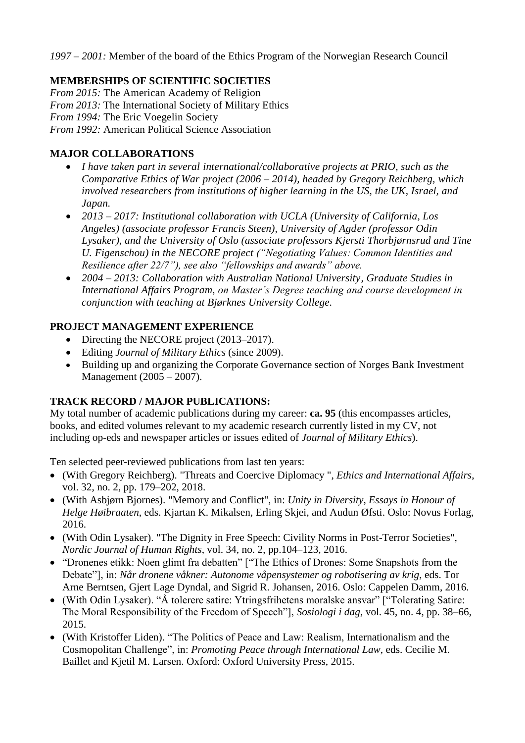*1997 – 2001:* Member of the board of the Ethics Program of the Norwegian Research Council

### **MEMBERSHIPS OF SCIENTIFIC SOCIETIES**

*From 2015:* The American Academy of Religion *From 2013:* The International Society of Military Ethics *From 1994:* The Eric Voegelin Society *From 1992:* American Political Science Association

### **MAJOR COLLABORATIONS**

- *I have taken part in several international/collaborative projects at PRIO, such as the Comparative Ethics of War project (2006 – 2014), headed by Gregory Reichberg, which involved researchers from institutions of higher learning in the US, the UK, Israel, and Japan.*
- *2013 – 2017: Institutional collaboration with UCLA (University of California, Los Angeles) (associate professor Francis Steen), University of Agder (professor Odin Lysaker), and the University of Oslo (associate professors Kjersti Thorbjørnsrud and Tine U. Figenschou) in the NECORE project ("Negotiating Values: Common Identities and Resilience after 22/7"), see also "fellowships and awards" above.*
- *2004 – 2013: Collaboration with Australian National University, Graduate Studies in International Affairs Program, on Master's Degree teaching and course development in conjunction with teaching at Bjørknes University College.*

### **PROJECT MANAGEMENT EXPERIENCE**

- Directing the NECORE project (2013–2017).
- Editing *Journal of Military Ethics* (since 2009).
- Building up and organizing the Corporate Governance section of Norges Bank Investment Management (2005 – 2007).

## **TRACK RECORD / MAJOR PUBLICATIONS:**

My total number of academic publications during my career: **ca. 95** (this encompasses articles, books, and edited volumes relevant to my academic research currently listed in my CV, not including op-eds and newspaper articles or issues edited of *Journal of Military Ethics*).

Ten selected peer-reviewed publications from last ten years:

- (With Gregory Reichberg). "Threats and Coercive Diplomacy ", *Ethics and International Affairs*, vol. 32, no. 2, pp. 179–202, 2018.
- (With Asbjørn Bjornes). "Memory and Conflict", in: *Unity in Diversity, Essays in Honour of Helge Høibraaten*, eds. Kjartan K. Mikalsen, Erling Skjei, and Audun Øfsti. Oslo: Novus Forlag, 2016.
- (With Odin Lysaker). "The Dignity in Free Speech: Civility Norms in Post-Terror Societies", *Nordic Journal of Human Rights*, vol. 34, no. 2, pp.104–123, 2016.
- "Dronenes etikk: Noen glimt fra debatten" ["The Ethics of Drones: Some Snapshots from the Debate"], in: *Når dronene våkner: Autonome våpensystemer og robotisering av krig*, eds. Tor Arne Berntsen, Gjert Lage Dyndal, and Sigrid R. Johansen, 2016. Oslo: Cappelen Damm, 2016.
- (With Odin Lysaker). "Å tolerere satire: Ytringsfrihetens moralske ansvar" ["Tolerating Satire: The Moral Responsibility of the Freedom of Speech"], *Sosiologi i dag*, vol. 45, no. 4, pp. 38–66, 2015.
- (With Kristoffer Liden). "The Politics of Peace and Law: Realism, Internationalism and the Cosmopolitan Challenge", in: *Promoting Peace through International Law*, eds. Cecilie M. Baillet and Kjetil M. Larsen. Oxford: Oxford University Press, 2015.